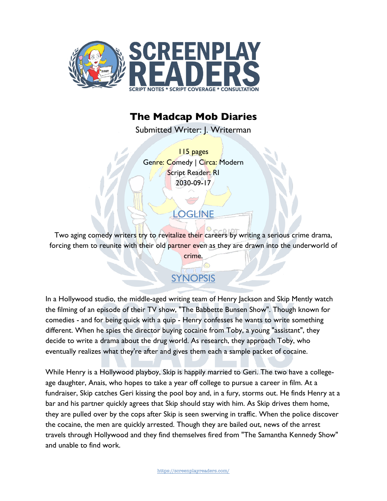

## **The Madcap Mob Diaries**

Submitted Writer: J. Writerman

115 pages Genre: Comedy | Circa: Modern Script Reader: RI 2030-09-17

Two aging comedy writers try to revitalize their careers by writing a serious crime drama, forcing them to reunite with their old partner even as they are drawn into the underworld of

crime.

**LOGLINE** 

# SYNOPSIS

In a Hollywood studio, the middle-aged writing team of Henry Jackson and Skip Mently watch the filming of an episode of their TV show, "The Babbette Bunsen Show". Though known for comedies - and for being quick with a quip - Henry confesses he wants to write something different. When he spies the director buying cocaine from Toby, a young "assistant", they decide to write a drama about the drug world. As research, they approach Toby, who eventually realizes what they're after and gives them each a sample packet of cocaine.

While Henry is a Hollywood playboy, Skip is happily married to Geri. The two have a collegeage daughter, Anais, who hopes to take a year off college to pursue a career in film. At a fundraiser, Skip catches Geri kissing the pool boy and, in a fury, storms out. He finds Henry at a bar and his partner quickly agrees that Skip should stay with him. As Skip drives them home, they are pulled over by the cops after Skip is seen swerving in traffic. When the police discover the cocaine, the men are quickly arrested. Though they are bailed out, news of the arrest travels through Hollywood and they find themselves fired from "The Samantha Kennedy Show" and unable to find work.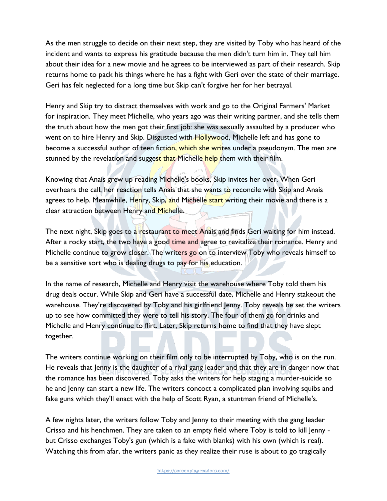As the men struggle to decide on their next step, they are visited by Toby who has heard of the incident and wants to express his gratitude because the men didn't turn him in. They tell him about their idea for a new movie and he agrees to be interviewed as part of their research. Skip returns home to pack his things where he has a fight with Geri over the state of their marriage. Geri has felt neglected for a long time but Skip can't forgive her for her betrayal.

Henry and Skip try to distract themselves with work and go to the Original Farmers' Market for inspiration. They meet Michelle, who years ago was their writing partner, and she tells them the truth about how the men got their first job: she was sexually assaulted by a producer who went on to hire Henry and Skip. Disgusted with Hollywood, Michelle left and has gone to become a successful author of teen fiction, which she writes under a pseudonym. The men are stunned by the revelation and suggest that Michelle help them with their film.

Knowing that Anais grew up reading Michelle's books, Skip invites her over. When Geri overhears the call, her reaction tells Anais that she wants to reconcile with Skip and Anais agrees to help. Meanwhile, Henry, Skip, and Michelle start writing their movie and there is a clear attraction between Henry and Michelle.

The next night, Skip goes to a restaurant to meet Anais and finds Geri waiting for him instead. After a rocky start, the two have a good time and agree to revitalize their romance. Henry and Michelle continue to grow closer. The writers go on to interview Toby who reveals himself to be a sensitive sort who is dealing drugs to pay for his education.

In the name of research, Michelle and Henry visit the warehouse where Toby told them his drug deals occur. While Skip and Geri have a successful date, Michelle and Henry stakeout the warehouse. They're discovered by Toby and his girlfriend Jenny. Toby reveals he set the writers up to see how committed they were to tell his story. The four of them go for drinks and Michelle and Henry continue to flirt. Later, Skip returns home to find that they have slept together.

The writers continue working on their film only to be interrupted by Toby, who is on the run. He reveals that Jenny is the daughter of a rival gang leader and that they are in danger now that the romance has been discovered. Toby asks the writers for help staging a murder-suicide so he and Jenny can start a new life. The writers concoct a complicated plan involving squibs and fake guns which they'll enact with the help of Scott Ryan, a stuntman friend of Michelle's.

A few nights later, the writers follow Toby and Jenny to their meeting with the gang leader Crisso and his henchmen. They are taken to an empty field where Toby is told to kill Jenny but Crisso exchanges Toby's gun (which is a fake with blanks) with his own (which is real). Watching this from afar, the writers panic as they realize their ruse is about to go tragically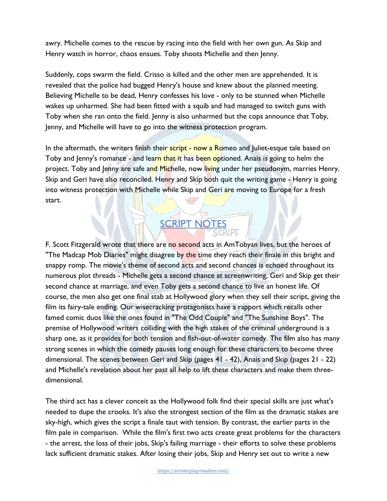awry. Michelle comes to the rescue by racing into the field with her own gun. As Skip and Henry watch in horror, chaos ensues. Toby shoots Michelle and then Jenny.

Suddenly, cops swarm the field. Crisso is killed and the other men are apprehended. It is revealed that the police had bugged Henry's house and knew about the planned meeting. Believing Michelle to be dead, Henry confesses his love - only to be stunned when Michelle wakes up unharmed. She had been fitted with a squib and had managed to switch guns with Toby when she ran onto the field. Jenny is also unharmed but the cops announce that Toby, Jenny, and Michelle will have to go into the witness protection program.

In the aftermath, the writers finish their script - now a Romeo and Juliet-esque tale based on Toby and Jenny's romance - and learn that it has been optioned. Anais is going to helm the project. Toby and Jenny are safe and Michelle, now living under her pseudonym, marries Henry. Skip and Geri have also reconciled. Henry and Skip both quit the writing game - Henry is going into witness protection with Michelle while Skip and Geri are moving to Europe for a fresh start.

# **SCRIPT NOTES**

F. Scott Fitzgerald wrote that there are no second acts in AmTobyan lives, but the heroes of "The Madcap Mob Diaries" might disagree by the time they reach their finale in this bright and snappy romp. The movie's theme of second acts and second chances is echoed throughout its numerous plot threads - Michelle gets a second chance at screenwriting, Geri and Skip get their second chance at marriage, and even Toby gets a second chance to live an honest life. Of course, the men also get one final stab at Hollywood glory when they sell their script, giving the film its fairy-tale ending. Our wisecracking protagonists have a rapport which recalls other famed comic duos like the ones found in "The Odd Couple" and "The Sunshine Boys". The premise of Hollywood writers colliding with the high stakes of the criminal underground is a sharp one, as it provides for both tension and fish-out-of-water comedy. The film also has many strong scenes in which the comedy pauses long enough for these characters to become three dimensional. The scenes between Geri and Skip (pages 41 - 42), Anais and Skip (pages 21 - 22) and Michelle's revelation about her past all help to lift these characters and make them threedimensional.

The third act has a clever conceit as the Hollywood folk find their special skills are just what's needed to dupe the crooks. It's also the strongest section of the film as the dramatic stakes are sky-high, which gives the script a finale taut with tension. By contrast, the earlier parts in the film pale in comparison. While the film's first two acts create great problems for the characters - the arrest, the loss of their jobs, Skip's failing marriage - their efforts to solve these problems lack sufficient dramatic stakes. After losing their jobs, Skip and Henry set out to write a new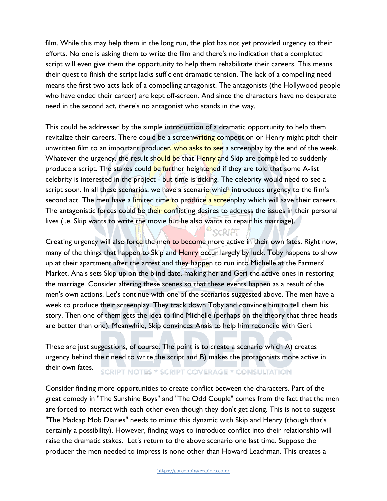film. While this may help them in the long run, the plot has not yet provided urgency to their efforts. No one is asking them to write the film and there's no indication that a completed script will even give them the opportunity to help them rehabilitate their careers. This means their quest to finish the script lacks sufficient dramatic tension. The lack of a compelling need means the first two acts lack of a compelling antagonist. The antagonists (the Hollywood people who have ended their career) are kept off-screen. And since the characters have no desperate need in the second act, there's no antagonist who stands in the way.

This could be addressed by the simple introduction of a dramatic opportunity to help them revitalize their careers. There could be a screenwriting competition or Henry might pitch their unwritten film to an important producer, who asks to see a screenplay by the end of the week. Whatever the urgency, the result should be that Henry and Skip are compelled to suddenly produce a script. The stakes could be further heightened if they are told that some A-list celebrity is interested in the project - but time is ticking. The celebrity would need to see a script soon. In all these scenarios, we have a scenario which introduces urgency to the film's second act. The men have a limited time to produce a screenplay which will save their careers. The antagonistic forces could be their conflicting desires to address the issues in their personal lives (i.e. Skip wants to write the movie but he also wants to repair his marriage).

Creating urgency will also force the men to become more active in their own fates. Right now, many of the things that happen to Skip and Henry occur largely by luck. Toby happens to show up at their apartment after the arrest and they happen to run into Michelle at the Farmers' Market. Anais sets Skip up on the blind date, making her and Geri the active ones in restoring the marriage. Consider altering these scenes so that these events happen as a result of the men's own actions. Let's continue with one of the scenarios suggested above. The men have a week to produce their screenplay. They track down Toby and convince him to tell them his story. Then one of them gets the idea to find Michelle (perhaps on the theory that three heads are better than one). Meanwhile, Skip convinces Anais to help him reconcile with Geri.

SCRIPT

These are just suggestions, of course. The point is to create a scenario which A) creates urgency behind their need to write the script and B) makes the protagonists more active in their own fates. **SCRIPT NOTES \* SCRIPT COVERAGE \* CONSULTATION** 

Consider finding more opportunities to create conflict between the characters. Part of the great comedy in "The Sunshine Boys" and "The Odd Couple" comes from the fact that the men are forced to interact with each other even though they don't get along. This is not to suggest "The Madcap Mob Diaries" needs to mimic this dynamic with Skip and Henry (though that's certainly a possibility). However, finding ways to introduce conflict into their relationship will raise the dramatic stakes. Let's return to the above scenario one last time. Suppose the producer the men needed to impress is none other than Howard Leachman. This creates a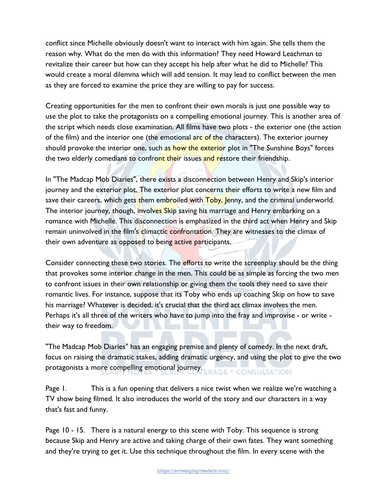conflict since Michelle obviously doesn't want to interact with him again. She tells them the reason why. What do the men do with this information? They need Howard Leachman to revitalize their career but how can they accept his help after what he did to Michelle? This would create a moral dilemma which will add tension. It may lead to conflict between the men as they are forced to examine the price they are willing to pay for success.

Creating opportunities for the men to confront their own morals is just one possible way to use the plot to take the protagonists on a compelling emotional journey. This is another area of the script which needs close examination. All films have two plots - the exterior one (the action of the film) and the interior one (the emotional arc of the characters). The exterior journey should provoke the interior one, such as how the exterior plot in "The Sunshine Boys" forces the two elderly comedians to confront their issues and restore their friendship.

In "The Madcap Mob Diaries", there exists a disconnection between Henry and Skip's interior journey and the exterior plot. The exterior plot concerns their efforts to write a new film and save their careers, which gets them embroiled with  $Toby$ , Jenny, and the criminal underworld. The interior journey, though, involves Skip saving his marriage and Henry embarking on a romance with Michelle. This disconnection is emphasized in the third act when Henry and Skip remain uninvolved in the film's climactic confrontation. They are witnesses to the climax of their own adventure as opposed to being active participants.

Consider connecting these two stories. The efforts to write the screenplay should be the thing that provokes some interior change in the men. This could be as simple as forcing the two men to confront issues in their own relationship or giving them the tools they need to save their romantic lives. For instance, suppose that its Toby who ends up coaching Skip on how to save his marriage? Whatever is decided, it's crucial that the third act climax involves the men. Perhaps it's all three of the writers who have to jump into the fray and improvise - or write their way to freedom.

"The Madcap Mob Diaries" has an engaging premise and plenty of comedy. In the next draft, focus on raising the dramatic stakes, adding dramatic urgency, and using the plot to give the two protagonists a more compelling emotional journey. ERAGE \* CONSULTATION

Page 1. This is a fun opening that delivers a nice twist when we realize we're watching a TV show being filmed. It also introduces the world of the story and our characters in a way that's fast and funny.

Page 10 - 15. There is a natural energy to this scene with Toby. This sequence is strong because Skip and Henry are active and taking charge of their own fates. They want something and they're trying to get it. Use this technique throughout the film. In every scene with the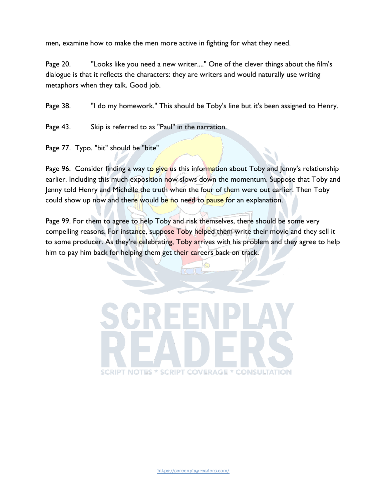men, examine how to make the men more active in fighting for what they need.

Page 20. "Looks like you need a new writer...." One of the clever things about the film's dialogue is that it reflects the characters: they are writers and would naturally use writing metaphors when they talk. Good job.

Page 38. "I do my homework." This should be Toby's line but it's been assigned to Henry.

Page 43. Skip is referred to as "Paul" in the narration.

Page 77. Typo. "bit" should be "bite"

Page 96. Consider finding a way to give us this information about Toby and Jenny's relationship earlier. Including this much exposition now slows down the momentum. Suppose that Toby and Jenny told Henry and Michelle the truth when the four of them were out earlier. Then Toby could show up now and there would be no need to pause for an explanation.

Page 99. For them to agree to help Toby and risk themselves, there should be some very compelling reasons. For instance, suppose Toby helped them write their movie and they sell it to some producer. As they're celebrating, Toby arrives with his problem and they agree to help him to pay him back for helping them get their careers back on track.

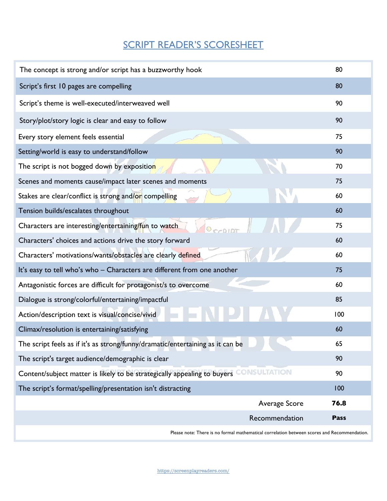## SCRIPT READER'S SCORESHEET

|                                                                                                 | 80          |
|-------------------------------------------------------------------------------------------------|-------------|
| Script's first 10 pages are compelling                                                          | 80          |
| Script's theme is well-executed/interweaved well                                                | 90          |
| Story/plot/story logic is clear and easy to follow                                              | 90          |
| Every story element feels essential                                                             | 75          |
| Setting/world is easy to understand/follow                                                      | 90          |
| The script is not bogged down by exposition                                                     | 70          |
| Scenes and moments cause/impact later scenes and moments                                        | 75          |
| Stakes are clear/conflict is strong and/or compelling                                           | 60          |
| Tension builds/escalates throughout                                                             | 60          |
| Characters are interesting/entertaining/fun to watch                                            | 75          |
| Characters' choices and actions drive the story forward                                         | 60          |
| Characters' motivations/wants/obstacles are clearly defined                                     | 60          |
| It's easy to tell who's who - Characters are different from one another                         | 75          |
| Antagonistic forces are difficult for protagonist/s to overcome                                 | 60          |
| Dialogue is strong/colorful/entertaining/impactful                                              | 85          |
| Action/description text is visual/concise/vivid                                                 | 100         |
| Climax/resolution is entertaining/satisfying                                                    | 60          |
| The script feels as if it's as strong/funny/dramatic/entertaining as it can be                  | 65          |
| The script's target audience/demographic is clear                                               | 90          |
| <b>CONSULTATION</b><br>Content/subject matter is likely to be strategically appealing to buyers | 90          |
| The script's format/spelling/presentation isn't distracting                                     | 100         |
| Average Score                                                                                   | 76.8        |
| Recommendation                                                                                  | <b>Pass</b> |

Please note: There is no formal mathematical correlation between scores and Recommendation.